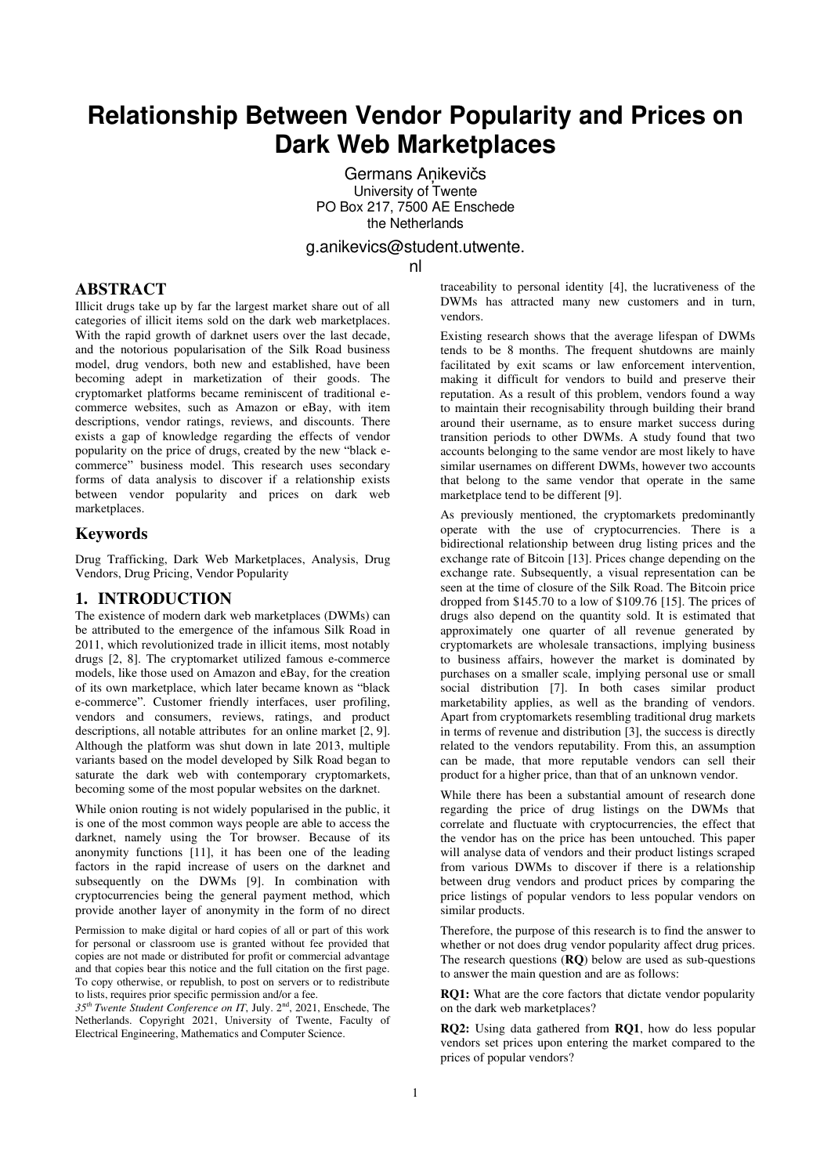# **Relationship Between Vendor Popularity and Prices on Dark Web Marketplaces**

Germans Aņikevičs University of Twente PO Box 217, 7500 AE Enschede the Netherlands

g.anikevics@student.utwente.

nl

# **ABSTRACT**

Illicit drugs take up by far the largest market share out of all categories of illicit items sold on the dark web marketplaces. With the rapid growth of darknet users over the last decade, and the notorious popularisation of the Silk Road business model, drug vendors, both new and established, have been becoming adept in marketization of their goods. The cryptomarket platforms became reminiscent of traditional ecommerce websites, such as Amazon or eBay, with item descriptions, vendor ratings, reviews, and discounts. There exists a gap of knowledge regarding the effects of vendor popularity on the price of drugs, created by the new "black ecommerce" business model. This research uses secondary forms of data analysis to discover if a relationship exists between vendor popularity and prices on dark web marketplaces.

# **Keywords**

Drug Trafficking, Dark Web Marketplaces, Analysis, Drug Vendors, Drug Pricing, Vendor Popularity

# **1. INTRODUCTION**

The existence of modern dark web marketplaces (DWMs) can be attributed to the emergence of the infamous Silk Road in 2011, which revolutionized trade in illicit items, most notably drugs [2, 8]. The cryptomarket utilized famous e-commerce models, like those used on Amazon and eBay, for the creation of its own marketplace, which later became known as "black e-commerce". Customer friendly interfaces, user profiling, vendors and consumers, reviews, ratings, and product descriptions, all notable attributes for an online market [2, 9]. Although the platform was shut down in late 2013, multiple variants based on the model developed by Silk Road began to saturate the dark web with contemporary cryptomarkets, becoming some of the most popular websites on the darknet.

While onion routing is not widely popularised in the public, it is one of the most common ways people are able to access the darknet, namely using the Tor browser. Because of its anonymity functions [11], it has been one of the leading factors in the rapid increase of users on the darknet and subsequently on the DWMs [9]. In combination with cryptocurrencies being the general payment method, which provide another layer of anonymity in the form of no direct

Permission to make digital or hard copies of all or part of this work for personal or classroom use is granted without fee provided that copies are not made or distributed for profit or commercial advantage and that copies bear this notice and the full citation on the first page. To copy otherwise, or republish, to post on servers or to redistribute to lists, requires prior specific permission and/or a fee.

*35th Twente Student Conference on IT*, July. 2nd, 2021, Enschede, The Netherlands. Copyright 2021, University of Twente, Faculty of Electrical Engineering, Mathematics and Computer Science.

traceability to personal identity [4], the lucrativeness of the DWMs has attracted many new customers and in turn, vendors.

Existing research shows that the average lifespan of DWMs tends to be 8 months. The frequent shutdowns are mainly facilitated by exit scams or law enforcement intervention. making it difficult for vendors to build and preserve their reputation. As a result of this problem, vendors found a way to maintain their recognisability through building their brand around their username, as to ensure market success during transition periods to other DWMs. A study found that two accounts belonging to the same vendor are most likely to have similar usernames on different DWMs, however two accounts that belong to the same vendor that operate in the same marketplace tend to be different [9].

As previously mentioned, the cryptomarkets predominantly operate with the use of cryptocurrencies. There is a bidirectional relationship between drug listing prices and the exchange rate of Bitcoin [13]. Prices change depending on the exchange rate. Subsequently, a visual representation can be seen at the time of closure of the Silk Road. The Bitcoin price dropped from \$145.70 to a low of \$109.76 [15]. The prices of drugs also depend on the quantity sold. It is estimated that approximately one quarter of all revenue generated by cryptomarkets are wholesale transactions, implying business to business affairs, however the market is dominated by purchases on a smaller scale, implying personal use or small social distribution [7]. In both cases similar product marketability applies, as well as the branding of vendors. Apart from cryptomarkets resembling traditional drug markets in terms of revenue and distribution [3], the success is directly related to the vendors reputability. From this, an assumption can be made, that more reputable vendors can sell their product for a higher price, than that of an unknown vendor.

While there has been a substantial amount of research done regarding the price of drug listings on the DWMs that correlate and fluctuate with cryptocurrencies, the effect that the vendor has on the price has been untouched. This paper will analyse data of vendors and their product listings scraped from various DWMs to discover if there is a relationship between drug vendors and product prices by comparing the price listings of popular vendors to less popular vendors on similar products.

Therefore, the purpose of this research is to find the answer to whether or not does drug vendor popularity affect drug prices. The research questions (**RQ**) below are used as sub-questions to answer the main question and are as follows:

**RQ1:** What are the core factors that dictate vendor popularity on the dark web marketplaces?

**RQ2:** Using data gathered from **RQ1**, how do less popular vendors set prices upon entering the market compared to the prices of popular vendors?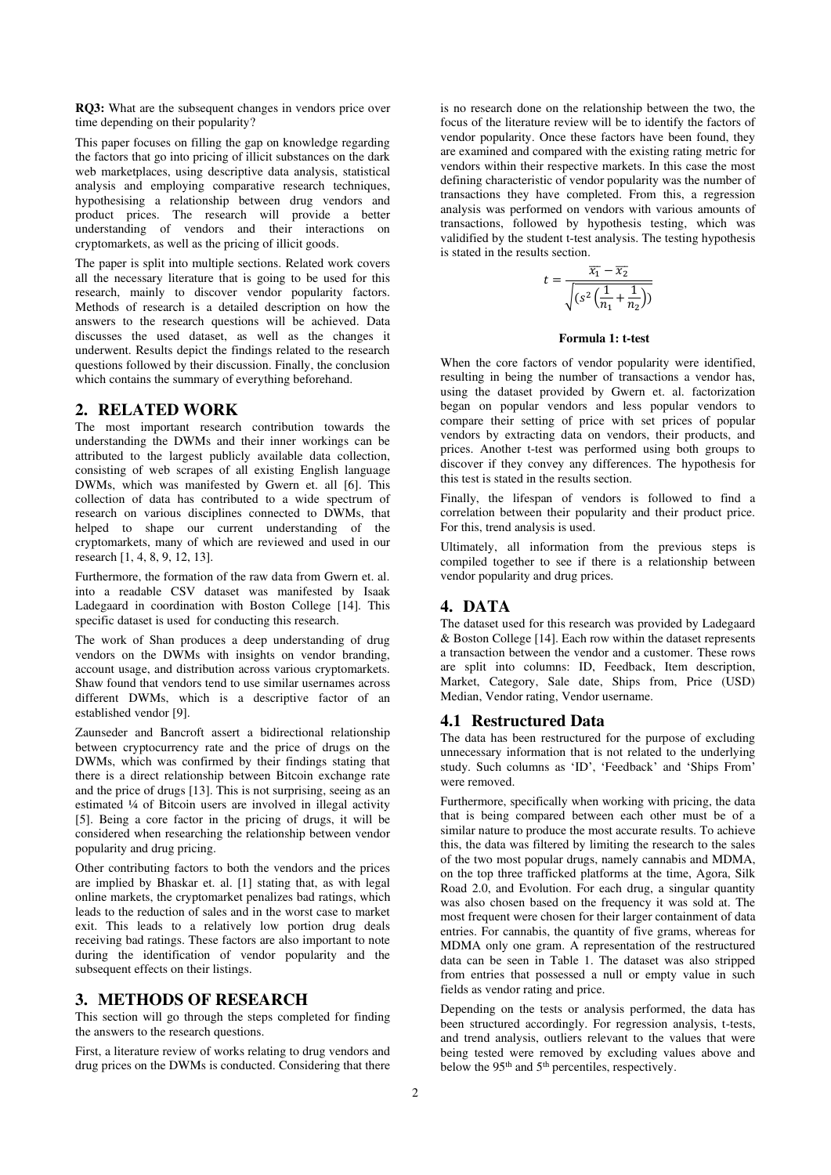**RQ3:** What are the subsequent changes in vendors price over time depending on their popularity?

This paper focuses on filling the gap on knowledge regarding the factors that go into pricing of illicit substances on the dark web marketplaces, using descriptive data analysis, statistical analysis and employing comparative research techniques, hypothesising a relationship between drug vendors and product prices. The research will provide a better understanding of vendors and their interactions on cryptomarkets, as well as the pricing of illicit goods.

The paper is split into multiple sections. Related work covers all the necessary literature that is going to be used for this research, mainly to discover vendor popularity factors. Methods of research is a detailed description on how the answers to the research questions will be achieved. Data discusses the used dataset, as well as the changes it underwent. Results depict the findings related to the research questions followed by their discussion. Finally, the conclusion which contains the summary of everything beforehand.

### **2. RELATED WORK**

The most important research contribution towards the understanding the DWMs and their inner workings can be attributed to the largest publicly available data collection, consisting of web scrapes of all existing English language DWMs, which was manifested by Gwern et. all [6]. This collection of data has contributed to a wide spectrum of research on various disciplines connected to DWMs, that helped to shape our current understanding of the cryptomarkets, many of which are reviewed and used in our research [1, 4, 8, 9, 12, 13].

Furthermore, the formation of the raw data from Gwern et. al. into a readable CSV dataset was manifested by Isaak Ladegaard in coordination with Boston College [14]. This specific dataset is used for conducting this research.

The work of Shan produces a deep understanding of drug vendors on the DWMs with insights on vendor branding, account usage, and distribution across various cryptomarkets. Shaw found that vendors tend to use similar usernames across different DWMs, which is a descriptive factor of an established vendor [9].

Zaunseder and Bancroft assert a bidirectional relationship between cryptocurrency rate and the price of drugs on the DWMs, which was confirmed by their findings stating that there is a direct relationship between Bitcoin exchange rate and the price of drugs [13]. This is not surprising, seeing as an estimated ¼ of Bitcoin users are involved in illegal activity [5]. Being a core factor in the pricing of drugs, it will be considered when researching the relationship between vendor popularity and drug pricing.

Other contributing factors to both the vendors and the prices are implied by Bhaskar et. al. [1] stating that, as with legal online markets, the cryptomarket penalizes bad ratings, which leads to the reduction of sales and in the worst case to market exit. This leads to a relatively low portion drug deals receiving bad ratings. These factors are also important to note during the identification of vendor popularity and the subsequent effects on their listings.

# **3. METHODS OF RESEARCH**

This section will go through the steps completed for finding the answers to the research questions.

First, a literature review of works relating to drug vendors and drug prices on the DWMs is conducted. Considering that there

is no research done on the relationship between the two, the focus of the literature review will be to identify the factors of vendor popularity. Once these factors have been found, they are examined and compared with the existing rating metric for vendors within their respective markets. In this case the most defining characteristic of vendor popularity was the number of transactions they have completed. From this, a regression analysis was performed on vendors with various amounts of transactions, followed by hypothesis testing, which was validified by the student t-test analysis. The testing hypothesis is stated in the results section.

$$
t = \frac{\overline{x_1} - \overline{x_2}}{\sqrt{(s^2(\frac{1}{n_1} + \frac{1}{n_2}))}}
$$

### **Formula 1: t-test**

When the core factors of vendor popularity were identified, resulting in being the number of transactions a vendor has, using the dataset provided by Gwern et. al. factorization began on popular vendors and less popular vendors to compare their setting of price with set prices of popular vendors by extracting data on vendors, their products, and prices. Another t-test was performed using both groups to discover if they convey any differences. The hypothesis for this test is stated in the results section.

Finally, the lifespan of vendors is followed to find a correlation between their popularity and their product price. For this, trend analysis is used.

Ultimately, all information from the previous steps is compiled together to see if there is a relationship between vendor popularity and drug prices.

### **4. DATA**

The dataset used for this research was provided by Ladegaard & Boston College [14]. Each row within the dataset represents a transaction between the vendor and a customer. These rows are split into columns: ID, Feedback, Item description, Market, Category, Sale date, Ships from, Price (USD) Median, Vendor rating, Vendor username.

### **4.1 Restructured Data**

The data has been restructured for the purpose of excluding unnecessary information that is not related to the underlying study. Such columns as 'ID', 'Feedback' and 'Ships From' were removed.

Furthermore, specifically when working with pricing, the data that is being compared between each other must be of a similar nature to produce the most accurate results. To achieve this, the data was filtered by limiting the research to the sales of the two most popular drugs, namely cannabis and MDMA, on the top three trafficked platforms at the time, Agora, Silk Road 2.0, and Evolution. For each drug, a singular quantity was also chosen based on the frequency it was sold at. The most frequent were chosen for their larger containment of data entries. For cannabis, the quantity of five grams, whereas for MDMA only one gram. A representation of the restructured data can be seen in Table 1. The dataset was also stripped from entries that possessed a null or empty value in such fields as vendor rating and price.

Depending on the tests or analysis performed, the data has been structured accordingly. For regression analysis, t-tests, and trend analysis, outliers relevant to the values that were being tested were removed by excluding values above and below the 95<sup>th</sup> and 5<sup>th</sup> percentiles, respectively.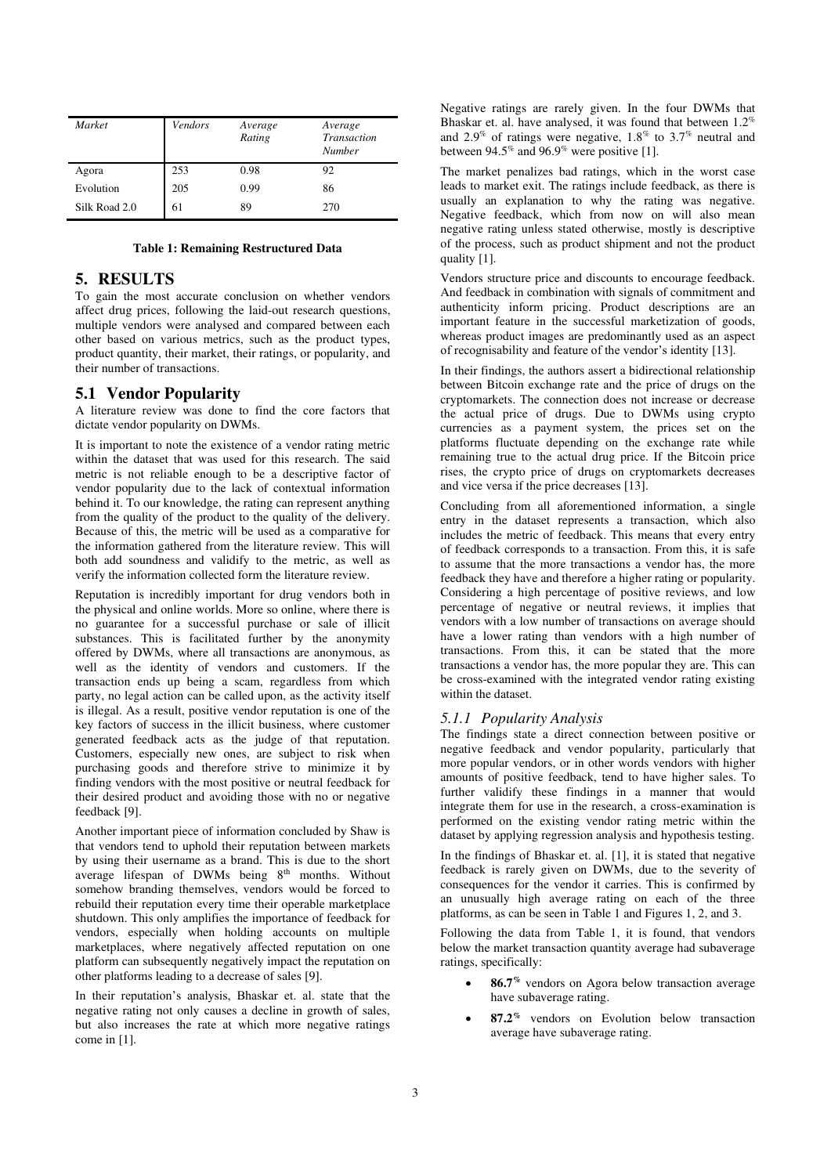| Market        | Vendors | Average<br>Rating | Average<br>Transaction<br>Number |
|---------------|---------|-------------------|----------------------------------|
| Agora         | 253     | 0.98              | 92                               |
| Evolution     | 205     | 0.99              | 86                               |
| Silk Road 2.0 | 61      | 89                | 270                              |

### **Table 1: Remaining Restructured Data**

# **5. RESULTS**

To gain the most accurate conclusion on whether vendors affect drug prices, following the laid-out research questions, multiple vendors were analysed and compared between each other based on various metrics, such as the product types, product quantity, their market, their ratings, or popularity, and their number of transactions.

### **5.1 Vendor Popularity**

A literature review was done to find the core factors that dictate vendor popularity on DWMs.

It is important to note the existence of a vendor rating metric within the dataset that was used for this research. The said metric is not reliable enough to be a descriptive factor of vendor popularity due to the lack of contextual information behind it. To our knowledge, the rating can represent anything from the quality of the product to the quality of the delivery. Because of this, the metric will be used as a comparative for the information gathered from the literature review. This will both add soundness and validify to the metric, as well as verify the information collected form the literature review.

Reputation is incredibly important for drug vendors both in the physical and online worlds. More so online, where there is no guarantee for a successful purchase or sale of illicit substances. This is facilitated further by the anonymity offered by DWMs, where all transactions are anonymous, as well as the identity of vendors and customers. If the transaction ends up being a scam, regardless from which party, no legal action can be called upon, as the activity itself is illegal. As a result, positive vendor reputation is one of the key factors of success in the illicit business, where customer generated feedback acts as the judge of that reputation. Customers, especially new ones, are subject to risk when purchasing goods and therefore strive to minimize it by finding vendors with the most positive or neutral feedback for their desired product and avoiding those with no or negative feedback [9].

Another important piece of information concluded by Shaw is that vendors tend to uphold their reputation between markets by using their username as a brand. This is due to the short average lifespan of DWMs being 8<sup>th</sup> months. Without somehow branding themselves, vendors would be forced to rebuild their reputation every time their operable marketplace shutdown. This only amplifies the importance of feedback for vendors, especially when holding accounts on multiple marketplaces, where negatively affected reputation on one platform can subsequently negatively impact the reputation on other platforms leading to a decrease of sales [9].

In their reputation's analysis, Bhaskar et. al. state that the negative rating not only causes a decline in growth of sales, but also increases the rate at which more negative ratings come in [1].

Negative ratings are rarely given. In the four DWMs that Bhaskar et. al. have analysed, it was found that between 1.2% and 2.9% of ratings were negative,  $1.8\%$  to  $3.7\%$  neutral and between 94.5% and 96.9% were positive [1].

The market penalizes bad ratings, which in the worst case leads to market exit. The ratings include feedback, as there is usually an explanation to why the rating was negative. Negative feedback, which from now on will also mean negative rating unless stated otherwise, mostly is descriptive of the process, such as product shipment and not the product quality [1].

Vendors structure price and discounts to encourage feedback. And feedback in combination with signals of commitment and authenticity inform pricing. Product descriptions are an important feature in the successful marketization of goods, whereas product images are predominantly used as an aspect of recognisability and feature of the vendor's identity [13].

In their findings, the authors assert a bidirectional relationship between Bitcoin exchange rate and the price of drugs on the cryptomarkets. The connection does not increase or decrease the actual price of drugs. Due to DWMs using crypto currencies as a payment system, the prices set on the platforms fluctuate depending on the exchange rate while remaining true to the actual drug price. If the Bitcoin price rises, the crypto price of drugs on cryptomarkets decreases and vice versa if the price decreases [13].

Concluding from all aforementioned information, a single entry in the dataset represents a transaction, which also includes the metric of feedback. This means that every entry of feedback corresponds to a transaction. From this, it is safe to assume that the more transactions a vendor has, the more feedback they have and therefore a higher rating or popularity. Considering a high percentage of positive reviews, and low percentage of negative or neutral reviews, it implies that vendors with a low number of transactions on average should have a lower rating than vendors with a high number of transactions. From this, it can be stated that the more transactions a vendor has, the more popular they are. This can be cross-examined with the integrated vendor rating existing within the dataset.

### *5.1.1 Popularity Analysis*

The findings state a direct connection between positive or negative feedback and vendor popularity, particularly that more popular vendors, or in other words vendors with higher amounts of positive feedback, tend to have higher sales. To further validify these findings in a manner that would integrate them for use in the research, a cross-examination is performed on the existing vendor rating metric within the dataset by applying regression analysis and hypothesis testing.

In the findings of Bhaskar et. al. [1], it is stated that negative feedback is rarely given on DWMs, due to the severity of consequences for the vendor it carries. This is confirmed by an unusually high average rating on each of the three platforms, as can be seen in Table 1 and Figures 1, 2, and 3.

Following the data from Table 1, it is found, that vendors below the market transaction quantity average had subaverage ratings, specifically:

- **86.7%** vendors on Agora below transaction average have subaverage rating.
- **87.2%** vendors on Evolution below transaction average have subaverage rating.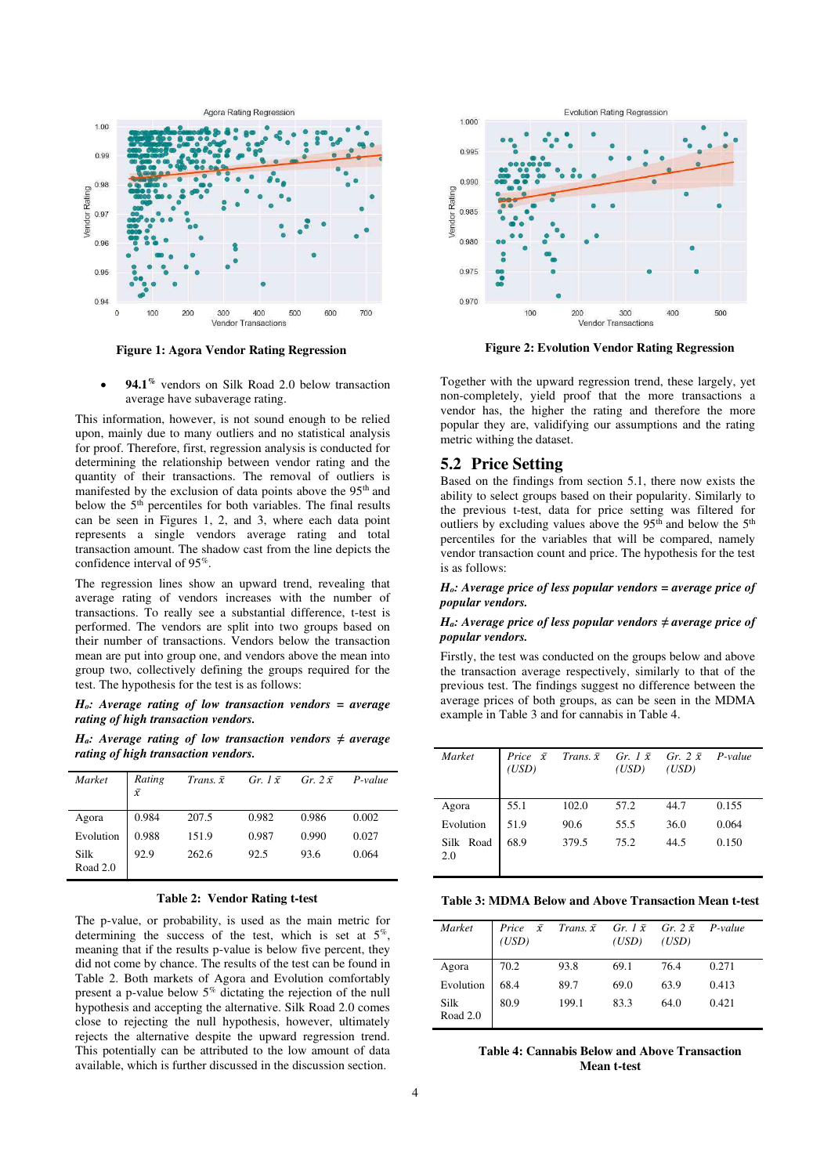

Figure 1: Agora Vendor Rating Regression Figure 2: Evolution Vendor Rating Regression

• **94.1%** vendors on Silk Road 2.0 below transaction average have subaverage rating.

This information, however, is not sound enough to be relied upon, mainly due to many outliers and no statistical analysis for proof. Therefore, first, regression analysis is conducted for determining the relationship between vendor rating and the quantity of their transactions. The removal of outliers is manifested by the exclusion of data points above the 95<sup>th</sup> and below the 5<sup>th</sup> percentiles for both variables. The final results can be seen in Figures 1, 2, and 3, where each data point represents a single vendors average rating and total transaction amount. The shadow cast from the line depicts the confidence interval of 95%.

The regression lines show an upward trend, revealing that average rating of vendors increases with the number of transactions. To really see a substantial difference, t-test is performed. The vendors are split into two groups based on their number of transactions. Vendors below the transaction mean are put into group one, and vendors above the mean into group two, collectively defining the groups required for the test. The hypothesis for the test is as follows:

*Ho: Average rating of low transaction vendors = average rating of high transaction vendors.* 

*H<sub>a</sub>*: Average rating of low transaction vendors  $\neq$  average *rating of high transaction vendors.* 

| Market           | Rating<br>$\bar{x}$ | Trans. $\bar{x}$ | Gr. $1\bar{x}$ | Gr. $2\bar{x}$ | $P-value$ |
|------------------|---------------------|------------------|----------------|----------------|-----------|
| Agora            | 0.984               | 207.5            | 0.982          | 0.986          | 0.002     |
| Evolution        | 0.988               | 151.9            | 0.987          | 0.990          | 0.027     |
| Silk<br>Road 2.0 | 92.9                | 262.6            | 92.5           | 93.6           | 0.064     |

The p-value, or probability, is used as the main metric for determining the success of the test, which is set at  $5\%$ , meaning that if the results p-value is below five percent, they did not come by chance. The results of the test can be found in Table 2. Both markets of Agora and Evolution comfortably present a p-value below  $5\%$  dictating the rejection of the null hypothesis and accepting the alternative. Silk Road 2.0 comes close to rejecting the null hypothesis, however, ultimately rejects the alternative despite the upward regression trend. This potentially can be attributed to the low amount of data available, which is further discussed in the discussion section.



Together with the upward regression trend, these largely, yet non-completely, yield proof that the more transactions a vendor has, the higher the rating and therefore the more popular they are, validifying our assumptions and the rating metric withing the dataset.

### **5.2 Price Setting**

Based on the findings from section 5.1, there now exists the ability to select groups based on their popularity. Similarly to the previous t-test, data for price setting was filtered for outliers by excluding values above the  $95<sup>th</sup>$  and below the  $5<sup>th</sup>$ percentiles for the variables that will be compared, namely vendor transaction count and price. The hypothesis for the test is as follows:

*Ho: Average price of less popular vendors = average price of popular vendors.* 

### *H<sub>a</sub>*: Average price of less popular vendors  $\neq$  average price of *popular vendors.*

Firstly, the test was conducted on the groups below and above the transaction average respectively, similarly to that of the previous test. The findings suggest no difference between the average prices of both groups, as can be seen in the MDMA example in Table 3 and for cannabis in Table 4.

| Market           | Price $\bar{x}$<br>(USD) |       | Trans. $\bar{x}$ Gr. 1 $\bar{x}$ Gr. 2 $\bar{x}$<br>(USD) | (USD) | $P-value$ |
|------------------|--------------------------|-------|-----------------------------------------------------------|-------|-----------|
| Agora            | 55.1                     | 102.0 | 57.2                                                      | 44.7  | 0.155     |
| Evolution        | 51.9                     | 90.6  | 55.5                                                      | 36.0  | 0.064     |
| Silk Road<br>2.0 | 68.9                     | 379.5 | 75.2                                                      | 44.5  | 0.150     |

Table 2: Vendor Rating t-test Table 3: MDMA Below and Above Transaction Mean t-test

| Market           | $\bar{x}$<br>Price<br>(USD) | Trans. $\bar{x}$ Gr. 1 $\bar{x}$ Gr. 2 $\bar{x}$ P-value | (USD) | (USD) |       |
|------------------|-----------------------------|----------------------------------------------------------|-------|-------|-------|
| Agora            | 70.2                        | 93.8                                                     | 69.1  | 76.4  | 0.271 |
| Evolution        | 68.4                        | 89.7                                                     | 69.0  | 63.9  | 0.413 |
| Silk<br>Road 2.0 | 80.9                        | 199.1                                                    | 83.3  | 64.0  | 0.421 |

**Table 4: Cannabis Below and Above Transaction Mean t-test**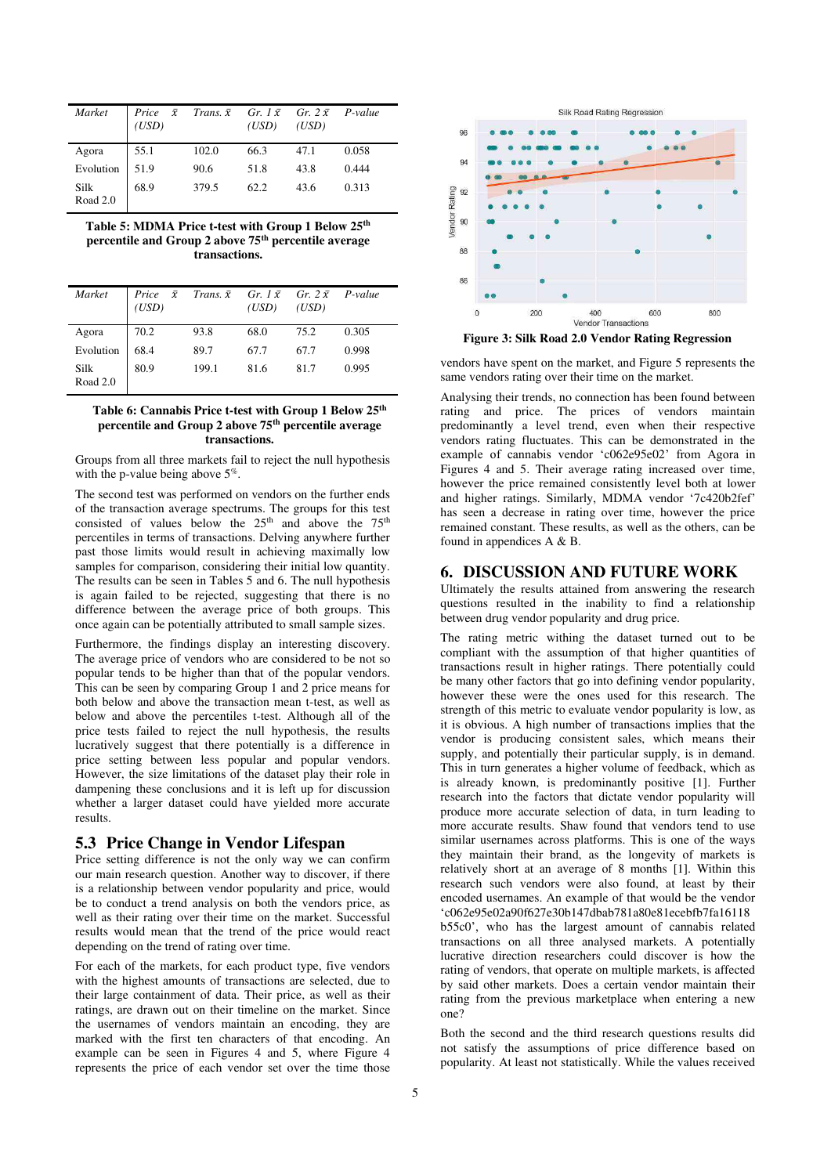| Market           | Price $\bar{x}$ Trans. $\bar{x}$ Gr. 1 $\bar{x}$ Gr. 2 $\bar{x}$ P-value<br>(USD) |       | (USD) | (USD) |       |
|------------------|-----------------------------------------------------------------------------------|-------|-------|-------|-------|
| Agora            | 55.1                                                                              | 102.0 | 66.3  | 47.1  | 0.058 |
| Evolution        | 51.9                                                                              | 90.6  | 51.8  | 43.8  | 0.444 |
| Silk<br>Road 2.0 | 68.9                                                                              | 379.5 | 62.2  | 43.6  | 0.313 |

**Table 5: MDMA Price t-test with Group 1 Below 25th percentile and Group 2 above 75th percentile average transactions.** 

| Market           | <i>Price</i> $\bar{x}$ <i>Trans.</i> $\bar{x}$ <i>Gr.</i> 1 $\bar{x}$ <i>Gr.</i> 2 $\bar{x}$ <i>P-value</i><br>(USD) |       | (USD) | (USD) |       |
|------------------|----------------------------------------------------------------------------------------------------------------------|-------|-------|-------|-------|
| Agora            | 70.2                                                                                                                 | 93.8  | 68.0  | 75.2  | 0.305 |
| Evolution        | 68.4                                                                                                                 | 89.7  | 67.7  | 67.7  | 0.998 |
| Silk<br>Road 2.0 | 80.9                                                                                                                 | 199.1 | 81.6  | 81.7  | 0.995 |

### **Table 6: Cannabis Price t-test with Group 1 Below 25th percentile and Group 2 above 75th percentile average transactions.**

Groups from all three markets fail to reject the null hypothesis with the p-value being above  $5\%$ .

The second test was performed on vendors on the further ends of the transaction average spectrums. The groups for this test consisted of values below the  $25<sup>th</sup>$  and above the  $75<sup>th</sup>$ percentiles in terms of transactions. Delving anywhere further past those limits would result in achieving maximally low samples for comparison, considering their initial low quantity. The results can be seen in Tables 5 and 6. The null hypothesis is again failed to be rejected, suggesting that there is no difference between the average price of both groups. This once again can be potentially attributed to small sample sizes.

Furthermore, the findings display an interesting discovery. The average price of vendors who are considered to be not so popular tends to be higher than that of the popular vendors. This can be seen by comparing Group 1 and 2 price means for both below and above the transaction mean t-test, as well as below and above the percentiles t-test. Although all of the price tests failed to reject the null hypothesis, the results lucratively suggest that there potentially is a difference in price setting between less popular and popular vendors. However, the size limitations of the dataset play their role in dampening these conclusions and it is left up for discussion whether a larger dataset could have yielded more accurate results.

# **5.3 Price Change in Vendor Lifespan**

Price setting difference is not the only way we can confirm our main research question. Another way to discover, if there is a relationship between vendor popularity and price, would be to conduct a trend analysis on both the vendors price, as well as their rating over their time on the market. Successful results would mean that the trend of the price would react depending on the trend of rating over time.

For each of the markets, for each product type, five vendors with the highest amounts of transactions are selected, due to their large containment of data. Their price, as well as their ratings, are drawn out on their timeline on the market. Since the usernames of vendors maintain an encoding, they are marked with the first ten characters of that encoding. An example can be seen in Figures 4 and 5, where Figure 4 represents the price of each vendor set over the time those



**Figure 3: Silk Road 2.0 Vendor Rating Regression** 

vendors have spent on the market, and Figure 5 represents the same vendors rating over their time on the market.

Analysing their trends, no connection has been found between rating and price. The prices of vendors maintain predominantly a level trend, even when their respective vendors rating fluctuates. This can be demonstrated in the example of cannabis vendor 'c062e95e02' from Agora in Figures 4 and 5. Their average rating increased over time, however the price remained consistently level both at lower and higher ratings. Similarly, MDMA vendor '7c420b2fef' has seen a decrease in rating over time, however the price remained constant. These results, as well as the others, can be found in appendices A & B.

# **6. DISCUSSION AND FUTURE WORK**

Ultimately the results attained from answering the research questions resulted in the inability to find a relationship between drug vendor popularity and drug price.

The rating metric withing the dataset turned out to be compliant with the assumption of that higher quantities of transactions result in higher ratings. There potentially could be many other factors that go into defining vendor popularity, however these were the ones used for this research. The strength of this metric to evaluate vendor popularity is low, as it is obvious. A high number of transactions implies that the vendor is producing consistent sales, which means their supply, and potentially their particular supply, is in demand. This in turn generates a higher volume of feedback, which as is already known, is predominantly positive [1]. Further research into the factors that dictate vendor popularity will produce more accurate selection of data, in turn leading to more accurate results. Shaw found that vendors tend to use similar usernames across platforms. This is one of the ways they maintain their brand, as the longevity of markets is relatively short at an average of 8 months [1]. Within this research such vendors were also found, at least by their encoded usernames. An example of that would be the vendor 'c062e95e02a90f627e30b147dbab781a80e81ecebfb7fa16118 b55c0', who has the largest amount of cannabis related transactions on all three analysed markets. A potentially lucrative direction researchers could discover is how the rating of vendors, that operate on multiple markets, is affected by said other markets. Does a certain vendor maintain their rating from the previous marketplace when entering a new one?

Both the second and the third research questions results did not satisfy the assumptions of price difference based on popularity. At least not statistically. While the values received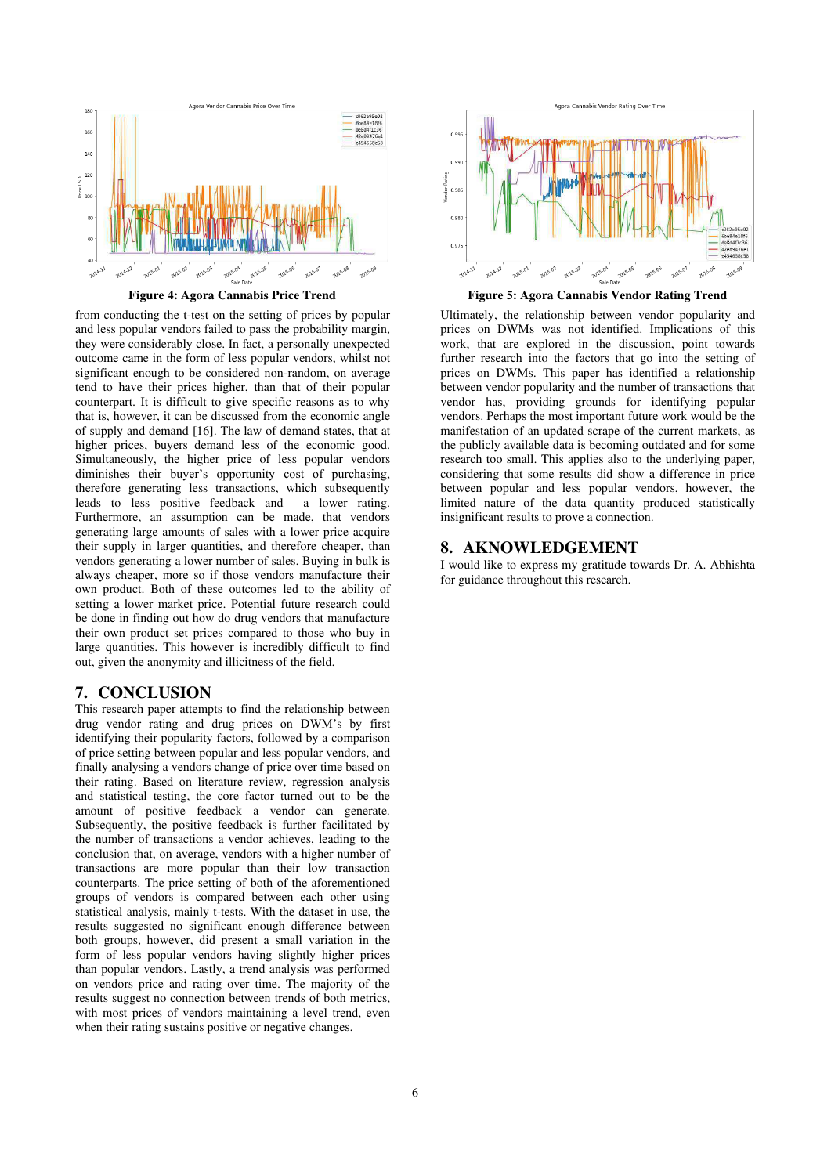

from conducting the t-test on the setting of prices by popular and less popular vendors failed to pass the probability margin, they were considerably close. In fact, a personally unexpected outcome came in the form of less popular vendors, whilst not significant enough to be considered non-random, on average tend to have their prices higher, than that of their popular counterpart. It is difficult to give specific reasons as to why that is, however, it can be discussed from the economic angle of supply and demand [16]. The law of demand states, that at higher prices, buyers demand less of the economic good. Simultaneously, the higher price of less popular vendors diminishes their buyer's opportunity cost of purchasing, therefore generating less transactions, which subsequently leads to less positive feedback and a lower rating. Furthermore, an assumption can be made, that vendors generating large amounts of sales with a lower price acquire their supply in larger quantities, and therefore cheaper, than vendors generating a lower number of sales. Buying in bulk is always cheaper, more so if those vendors manufacture their own product. Both of these outcomes led to the ability of setting a lower market price. Potential future research could be done in finding out how do drug vendors that manufacture their own product set prices compared to those who buy in large quantities. This however is incredibly difficult to find out, given the anonymity and illicitness of the field.

# **7. CONCLUSION**

This research paper attempts to find the relationship between drug vendor rating and drug prices on DWM's by first identifying their popularity factors, followed by a comparison of price setting between popular and less popular vendors, and finally analysing a vendors change of price over time based on their rating. Based on literature review, regression analysis and statistical testing, the core factor turned out to be the amount of positive feedback a vendor can generate. Subsequently, the positive feedback is further facilitated by the number of transactions a vendor achieves, leading to the conclusion that, on average, vendors with a higher number of transactions are more popular than their low transaction counterparts. The price setting of both of the aforementioned groups of vendors is compared between each other using statistical analysis, mainly t-tests. With the dataset in use, the results suggested no significant enough difference between both groups, however, did present a small variation in the form of less popular vendors having slightly higher prices than popular vendors. Lastly, a trend analysis was performed on vendors price and rating over time. The majority of the results suggest no connection between trends of both metrics, with most prices of vendors maintaining a level trend, even when their rating sustains positive or negative changes.



Ultimately, the relationship between vendor popularity and prices on DWMs was not identified. Implications of this work, that are explored in the discussion, point towards further research into the factors that go into the setting of prices on DWMs. This paper has identified a relationship between vendor popularity and the number of transactions that vendor has, providing grounds for identifying popular vendors. Perhaps the most important future work would be the manifestation of an updated scrape of the current markets, as the publicly available data is becoming outdated and for some research too small. This applies also to the underlying paper, considering that some results did show a difference in price between popular and less popular vendors, however, the limited nature of the data quantity produced statistically insignificant results to prove a connection.

### **8. AKNOWLEDGEMENT**

I would like to express my gratitude towards Dr. A. Abhishta for guidance throughout this research.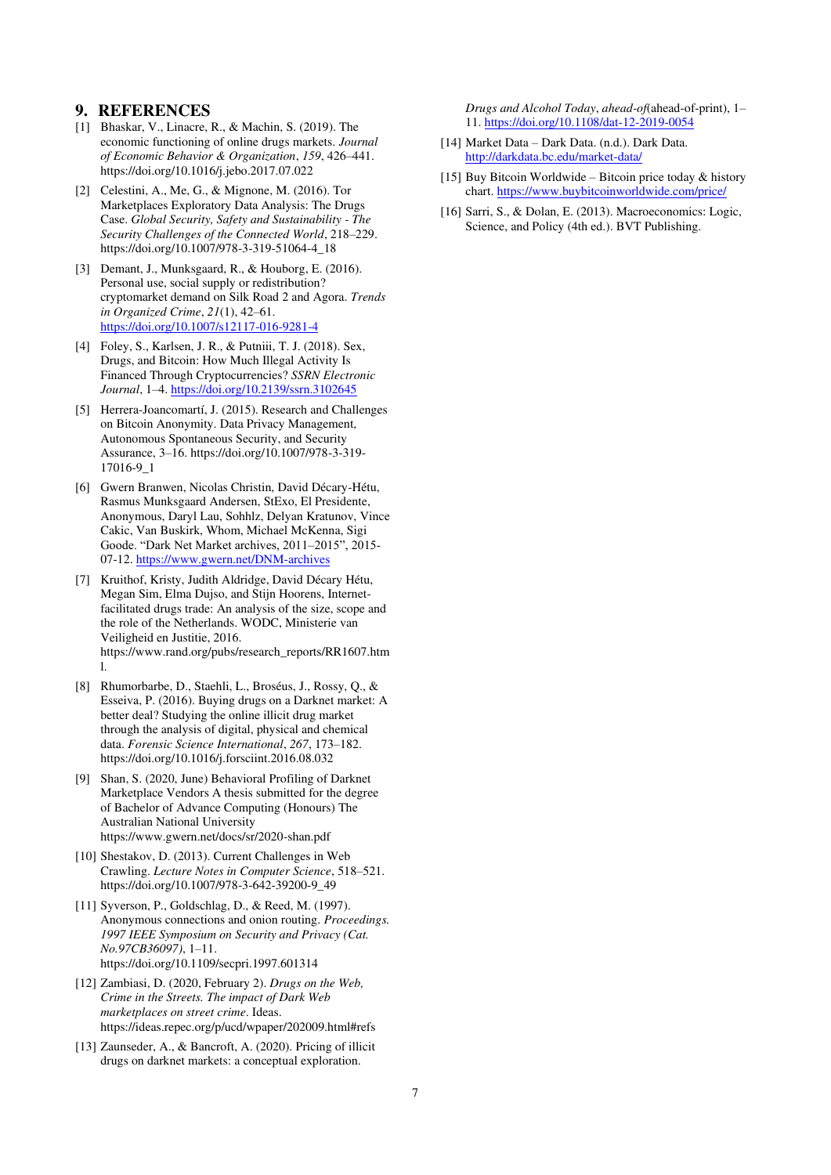# **9. REFERENCES**

- [1] Bhaskar, V., Linacre, R., & Machin, S. (2019). The economic functioning of online drugs markets. *Journal of Economic Behavior & Organization*, *159*, 426–441. https://doi.org/10.1016/j.jebo.2017.07.022
- [2] Celestini, A., Me, G., & Mignone, M. (2016). Tor Marketplaces Exploratory Data Analysis: The Drugs Case. *Global Security, Safety and Sustainability - The Security Challenges of the Connected World*, 218–229. https://doi.org/10.1007/978-3-319-51064-4\_18
- [3] Demant, J., Munksgaard, R., & Houborg, E. (2016). Personal use, social supply or redistribution? cryptomarket demand on Silk Road 2 and Agora. *Trends in Organized Crime*, *21*(1), 42–61. <https://doi.org/10.1007/s12117-016-9281-4>
- [4] Foley, S., Karlsen, J. R., & Putniii, T. J. (2018). Sex, Drugs, and Bitcoin: How Much Illegal Activity Is Financed Through Cryptocurrencies? *SSRN Electronic Journal*, 1–4[. https://doi.org/10.2139/ssrn.3102645](https://doi.org/10.2139/ssrn.3102645)
- [5] Herrera-Joancomartí, J. (2015). Research and Challenges on Bitcoin Anonymity. Data Privacy Management, Autonomous Spontaneous Security, and Security Assurance, 3–16. https://doi.org/10.1007/978-3-319- 17016-9\_1
- [6] Gwern Branwen, Nicolas Christin, David Décary-Hétu, Rasmus Munksgaard Andersen, StExo, El Presidente, Anonymous, Daryl Lau, Sohhlz, Delyan Kratunov, Vince Cakic, Van Buskirk, Whom, Michael McKenna, Sigi Goode. "Dark Net Market archives, 2011–2015", 2015- 07-12[. https://www.gwern.net/DNM-archives](https://www.gwern.net/DNM-archives)
- [7] Kruithof, Kristy, Judith Aldridge, David Décary Hétu, Megan Sim, Elma Dujso, and Stijn Hoorens, Internetfacilitated drugs trade: An analysis of the size, scope and the role of the Netherlands. WODC, Ministerie van Veiligheid en Justitie, 2016. https://www.rand.org/pubs/research\_reports/RR1607.htm l.
- [8] Rhumorbarbe, D., Staehli, L., Broséus, J., Rossy, Q., & Esseiva, P. (2016). Buying drugs on a Darknet market: A better deal? Studying the online illicit drug market through the analysis of digital, physical and chemical data. *Forensic Science International*, *267*, 173–182. https://doi.org/10.1016/j.forsciint.2016.08.032
- [9] Shan, S. (2020, June) Behavioral Profiling of Darknet Marketplace Vendors A thesis submitted for the degree of Bachelor of Advance Computing (Honours) The Australian National University https://www.gwern.net/docs/sr/2020-shan.pdf
- [10] Shestakov, D. (2013). Current Challenges in Web Crawling. *Lecture Notes in Computer Science*, 518–521. https://doi.org/10.1007/978-3-642-39200-9\_49
- [11] Syverson, P., Goldschlag, D., & Reed, M. (1997). Anonymous connections and onion routing. *Proceedings. 1997 IEEE Symposium on Security and Privacy (Cat. No.97CB36097)*, 1–11. https://doi.org/10.1109/secpri.1997.601314
- [12] Zambiasi, D. (2020, February 2). *Drugs on the Web, Crime in the Streets. The impact of Dark Web marketplaces on street crime*. Ideas. https://ideas.repec.org/p/ucd/wpaper/202009.html#refs
- [13] Zaunseder, A., & Bancroft, A. (2020). Pricing of illicit drugs on darknet markets: a conceptual exploration.

*Drugs and Alcohol Today*, *ahead-of*(ahead-of-print), 1– 11[. https://doi.org/10.1108/dat-12-2019-0054](https://doi.org/10.1108/dat-12-2019-0054)

- [14] Market Data Dark Data. (n.d.). Dark Data. <http://darkdata.bc.edu/market-data/>
- [15] Buy Bitcoin Worldwide Bitcoin price today  $\&$  history chart.<https://www.buybitcoinworldwide.com/price/>
- [16] Sarri, S., & Dolan, E. (2013). Macroeconomics: Logic, Science, and Policy (4th ed.). BVT Publishing.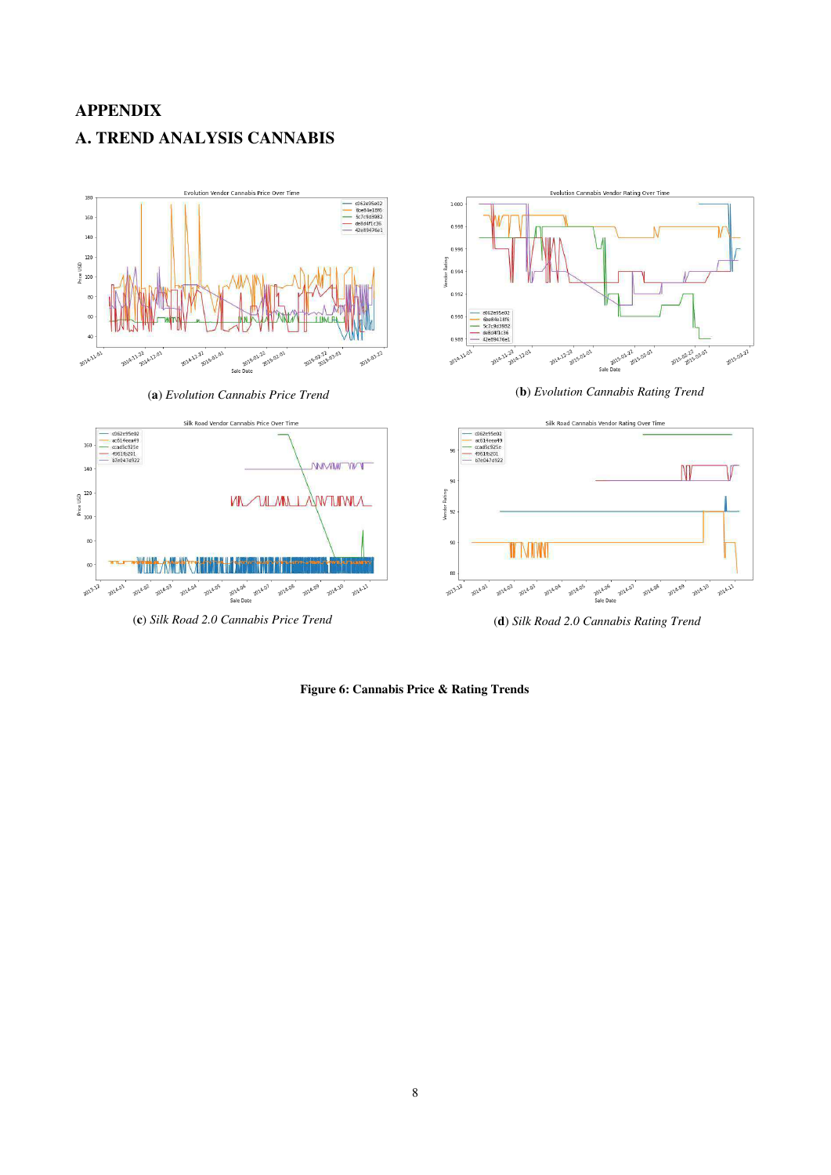# **APPENDIX A. TREND ANALYSIS CANNABIS**



**Figure 6: Cannabis Price & Rating Trends**